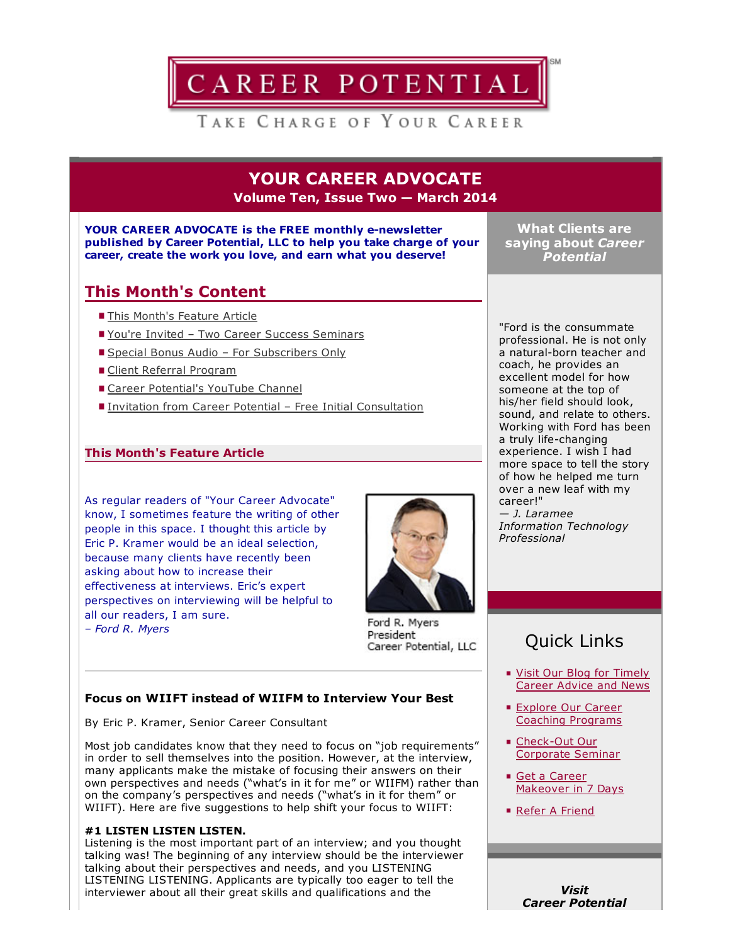

# TAKE CHARGE OF YOUR CAREER

YOUR CAREER ADVOCATE Volume Ten, Issue Two — March 2014

#### YOUR CAREER ADVOCATE is the FREE monthly e-newsletter published by Career Potential, LLC to help you take charge of your career, create the work you love, and earn what you deserve!

What Clients are saying about *Career Potential*

# This Month's Content

- This Month's Feature Article
- You're Invited Two Career Success Seminars
- Special Bonus Audio For Subscribers Only
- Client Referral Program
- Career Potential's YouTube Channel
- Invitation from Career Potential Free Initial Consultation

### This Month's Feature Article

As regular readers of "Your Career Advocate" know, I sometimes feature the writing of other people in this space. I thought this article by Eric P. Kramer would be an ideal selection, because many clients have recently been asking about how to increase their effectiveness at interviews. Eric's expert perspectives on interviewing will be helpful to all our readers, I am sure. – *Ford R. Myers*



Ford R. Myers President Career Potential, LLC

## Focus on WIIFT instead of WIIFM to Interview Your Best

By Eric P. Kramer, Senior Career Consultant

Most job candidates know that they need to focus on "job requirements" in order to sell themselves into the position. However, at the interview, many applicants make the mistake of focusing their answers on their own perspectives and needs ("what's in it for me" or WIIFM) rather than on the company's perspectives and needs ("what's in it for them" or WIIFT). Here are five suggestions to help shift your focus to WIIFT:

#### #1 LISTEN LISTEN LISTEN.

Listening is the most important part of an interview; and you thought talking was! The beginning of any interview should be the interviewer talking about their perspectives and needs, and you LISTENING LISTENING LISTENING. Applicants are typically too eager to tell the interviewer about all their great skills and qualifications and the

"Ford is the consummate professional. He is not only a natural-born teacher and coach, he provides an excellent model for how someone at the top of his/her field should look, sound, and relate to others. Working with Ford has been a truly life-changing experience. I wish I had more space to tell the story of how he helped me turn over a new leaf with my career!" *— J. Laramee*

*Information Technology Professional*

# Quick Links

- Visit Our Blog for Timely [Career](http://careerpotential.com/blog/) Advice and News
- **Explore Our Career** Coaching [Programs](http://careerpotential.com/career-coaching/)
- Check-Out Our Corporate Seminar
- Get a Career [Makeover](http://www.careersuccessaudio.com/) in 7 Days
- Refer A [Friend](http://careerpotential.com/career-potential/refer-career-potential/)

*Visit Career Potential*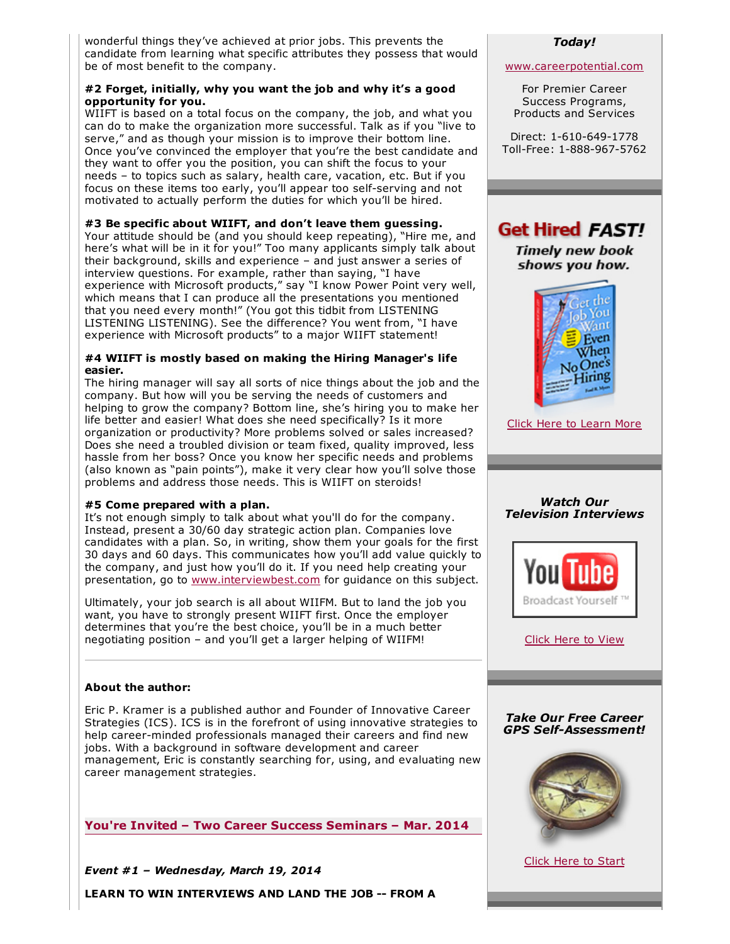wonderful things they've achieved at prior jobs. This prevents the candidate from learning what specific attributes they possess that would be of most benefit to the company.

#### #2 Forget, initially, why you want the job and why it's a good opportunity for you.

WIIFT is based on a total focus on the company, the job, and what you can do to make the organization more successful. Talk as if you "live to serve," and as though your mission is to improve their bottom line. Once you've convinced the employer that you're the best candidate and they want to offer you the position, you can shift the focus to your needs – to topics such as salary, health care, vacation, etc. But if you focus on these items too early, you'll appear too self-serving and not motivated to actually perform the duties for which you'll be hired.

#3 Be specific about WIIFT, and don't leave them guessing.

Your attitude should be (and you should keep repeating), "Hire me, and here's what will be in it for you!" Too many applicants simply talk about their background, skills and experience – and just answer a series of interview questions. For example, rather than saying, "I have experience with Microsoft products," say "I know Power Point very well, which means that I can produce all the presentations you mentioned that you need every month!" (You got this tidbit from LISTENING LISTENING LISTENING). See the difference? You went from, "I have experience with Microsoft products" to a major WIIFT statement!

#### #4 WIIFT is mostly based on making the Hiring Manager's life easier.

The hiring manager will say all sorts of nice things about the job and the company. But how will you be serving the needs of customers and helping to grow the company? Bottom line, she's hiring you to make her life better and easier! What does she need specifically? Is it more organization or productivity? More problems solved or sales increased? Does she need a troubled division or team fixed, quality improved, less hassle from her boss? Once you know her specific needs and problems (also known as "pain points"), make it very clear how you'll solve those problems and address those needs. This is WIIFT on steroids!

#### #5 Come prepared with a plan.

It's not enough simply to talk about what you'll do for the company. Instead, present a 30/60 day strategic action plan. Companies love candidates with a plan. So, in writing, show them your goals for the first 30 days and 60 days. This communicates how you'll add value quickly to the company, and just how you'll do it. If you need help creating your presentation, go to [www.interviewbest.com](http://www.interviewbest.com/) for guidance on this subject.

Ultimately, your job search is all about WIIFM. But to land the job you want, you have to strongly present WIIFT first. Once the employer determines that you're the best choice, you'll be in a much better negotiating position – and you'll get a larger helping of WIIFM!

#### About the author:

Eric P. Kramer is a published author and Founder of Innovative Career Strategies (ICS). ICS is in the forefront of using innovative strategies to help career-minded professionals managed their careers and find new jobs. With a background in software development and career management, Eric is constantly searching for, using, and evaluating new career management strategies.

You're Invited – Two Career Success Seminars – Mar. 2014

*Event #1 – Wednesday, March 19, 2014*

LEARN TO WIN INTERVIEWS AND LAND THE JOB -- FROM A

#### *Today!*

#### [www.careerpotential.com](http://www.careerpotential.com/)

For Premier Career Success Programs, Products and Services

Direct: 1-610-649-1778 Toll-Free: 1-888-967-5762



Click Here to [Learn](http://getthejobbook.com/) More



Click Here to [View](http://www.youtube.com/user/careerpotential)

#### *Take Our Free Career* **GPS** Self-Assessment!



Click Here to [Start](http://careerpotential.com/online-search-tools/career-gps-assessment/)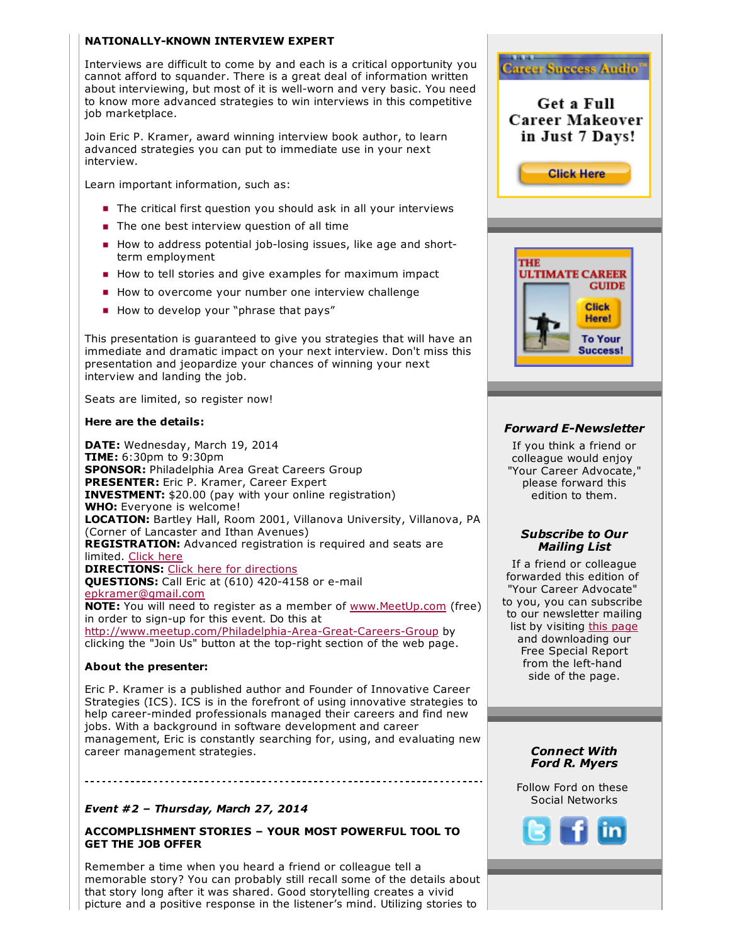#### NATIONALLY-KNOWN INTERVIEW EXPERT

Interviews are difficult to come by and each is a critical opportunity you cannot afford to squander. There is a great deal of information written about interviewing, but most of it is well-worn and very basic. You need to know more advanced strategies to win interviews in this competitive job marketplace.

Join Eric P. Kramer, award winning interview book author, to learn advanced strategies you can put to immediate use in your next interview.

Learn important information, such as:

- The critical first question you should ask in all your interviews
- The one best interview question of all time
- **How to address potential job-losing issues, like age and short**term employment
- How to tell stories and give examples for maximum impact
- How to overcome your number one interview challenge
- How to develop your "phrase that pays"

This presentation is guaranteed to give you strategies that will have an immediate and dramatic impact on your next interview. Don't miss this presentation and jeopardize your chances of winning your next interview and landing the job.

Seats are limited, so register now!

#### Here are the details:

DATE: Wednesday, March 19, 2014 TIME: 6:30pm to 9:30pm SPONSOR: Philadelphia Area Great Careers Group PRESENTER: Eric P. Kramer, Career Expert INVESTMENT: \$20.00 (pay with your online registration) WHO: Everyone is welcome! LOCATION: Bartley Hall, Room 2001, Villanova University, Villanova, PA (Corner of Lancaster and Ithan Avenues) REGISTRATION: Advanced registration is required and seats are limited. [Click](http://www.meetup.com/Philadelphia-Area-Great-Careers-Group/events/169056602/?a=co1.1_grp&rv=co1.1) here **DIRECTIONS:** Click here for [directions](http://www1.villanova.edu/villanova/admission/visit/maps.html) QUESTIONS: Call Eric at (610) 420-4158 or e-mail [epkramer@gmail.com](mailto:epkramer@gmail.com) **NOTE:** You will need to register as a member of [www.MeetUp.com](http://www.meetup.com/) (free) in order to sign-up for this event. Do this at http://www.meetup.com/Philadelphia-Area-Great-Careers-Group by clicking the "Join Us" button at the top-right section of the web page.

#### About the presenter:

Eric P. Kramer is a published author and Founder of Innovative Career Strategies (ICS). ICS is in the forefront of using innovative strategies to help career-minded professionals managed their careers and find new jobs. With a background in software development and career management, Eric is constantly searching for, using, and evaluating new career management strategies.

#### *Event #2 – Thursday, March 27, 2014*

ACCOMPLISHMENT STORIES – YOUR MOST POWERFUL TOOL TO GET THE JOB OFFER

Remember a time when you heard a friend or colleague tell a memorable story? You can probably still recall some of the details about that story long after it was shared. Good storytelling creates a vivid picture and a positive response in the listener's mind. Utilizing stories to



### **Forward E-Newsletter**

If you think a friend or colleague would enjoy "Your Career Advocate," please forward this edition to them.

#### *Subscribe to Our Mailing List*

If a friend or colleague forwarded this edition of "Your Career Advocate" to you, you can subscribe to our newsletter mailing list by visiting this [page](http://careerpotential.com/career-potential/) and downloading our Free Special Report from the left-hand side of the page.

#### *Connect With Ford R. Myers*

Follow Ford on these Social Networks

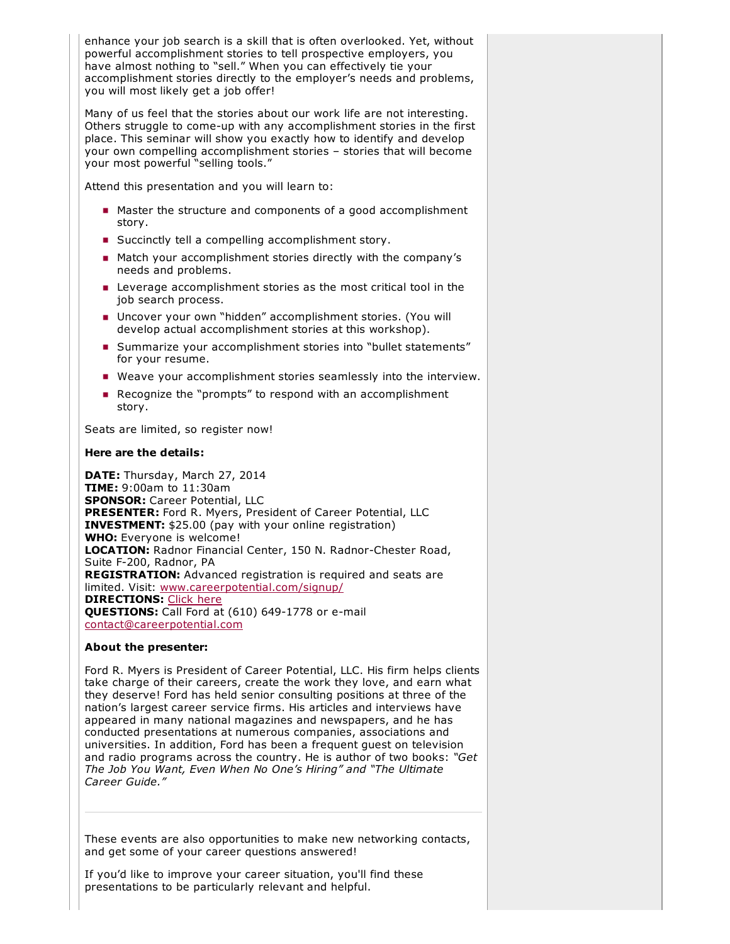enhance your job search is a skill that is often overlooked. Yet, without powerful accomplishment stories to tell prospective employers, you have almost nothing to "sell." When you can effectively tie your accomplishment stories directly to the employer's needs and problems, you will most likely get a job offer!

Many of us feel that the stories about our work life are not interesting. Others struggle to come-up with any accomplishment stories in the first place. This seminar will show you exactly how to identify and develop your own compelling accomplishment stories – stories that will become your most powerful "selling tools."

Attend this presentation and you will learn to:

- Master the structure and components of a good accomplishment story.
- **Succinctly tell a compelling accomplishment story.**
- **Match your accomplishment stories directly with the company's** needs and problems.
- **EXECO** Leverage accomplishment stories as the most critical tool in the job search process.
- Uncover your own "hidden" accomplishment stories. (You will develop actual accomplishment stories at this workshop).
- **Summarize your accomplishment stories into "bullet statements"** for your resume.
- Weave your accomplishment stories seamlessly into the interview.
- Recognize the "prompts" to respond with an accomplishment story.

Seats are limited, so register now!

#### Here are the details:

DATE: Thursday, March 27, 2014 TIME: 9:00am to 11:30am SPONSOR: Career Potential, LLC PRESENTER: Ford R. Myers, President of Career Potential, LLC INVESTMENT: \$25.00 (pay with your online registration) WHO: Everyone is welcome! LOCATION: Radnor Financial Center, 150 N. Radnor-Chester Road, Suite F-200, Radnor, PA REGISTRATION: Advanced registration is required and seats are limited. Visit: [www.careerpotential.com/signup/](http://www.careerpotential.com/signup/) **DIRECTIONS: [Click](http://careerpotential.com/contact-career-potential/directions-radnor/) here** QUESTIONS: Call Ford at (610) 649-1778 or e-mail [contact@careerpotential.com](mailto:contact@careerpotential.com)

#### About the presenter:

Ford R. Myers is President of Career Potential, LLC. His firm helps clients take charge of their careers, create the work they love, and earn what they deserve! Ford has held senior consulting positions at three of the nation's largest career service firms. His articles and interviews have appeared in many national magazines and newspapers, and he has conducted presentations at numerous companies, associations and universities. In addition, Ford has been a frequent guest on television and radio programs across the country. He is author of two books: *"Get The Job You Want, Even When No One's Hiring" and "The Ultimate Career Guide."*

These events are also opportunities to make new networking contacts, and get some of your career questions answered!

If you'd like to improve your career situation, you'll find these presentations to be particularly relevant and helpful.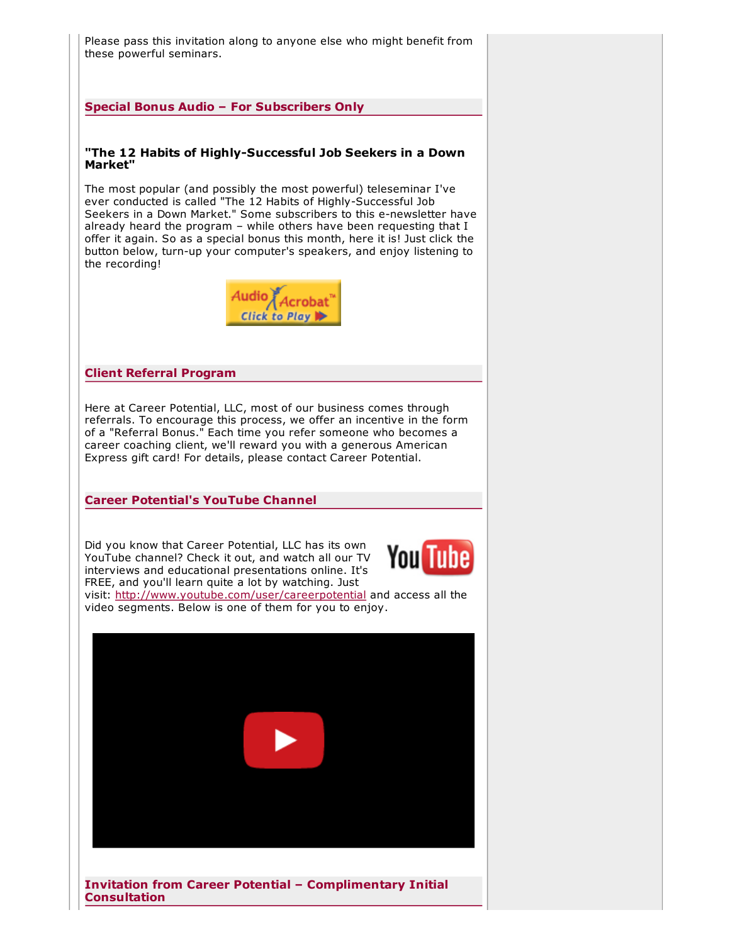Please pass this invitation along to anyone else who might benefit from these powerful seminars.

Special Bonus Audio – For Subscribers Only

#### "The 12 Habits of Highly-Successful Job Seekers in a Down Market"

The most popular (and possibly the most powerful) teleseminar I've ever conducted is called "The 12 Habits of Highly-Successful Job Seekers in a Down Market." Some subscribers to this e-newsletter have already heard the program – while others have been requesting that I offer it again. So as a special bonus this month, here it is! Just click the button below, turn-up your computer's speakers, and enjoy listening to the recording!



#### Client Referral Program

Here at Career Potential, LLC, most of our business comes through referrals. To encourage this process, we offer an incentive in the form of a "Referral Bonus." Each time you refer someone who becomes a career coaching client, we'll reward you with a generous American Express gift card! For details, please contact Career Potential.

Career Potential's YouTube Channel

Did you know that Career Potential, LLC has its own YouTube channel? Check it out, and watch all our TV interviews and educational presentations online. It's FREE, and you'll learn quite a lot by watching. Just



visit: <http://www.youtube.com/user/careerpotential> and access all the video segments. Below is one of them for you to enjoy.



Invitation from Career Potential – Complimentary Initial **Consultation**